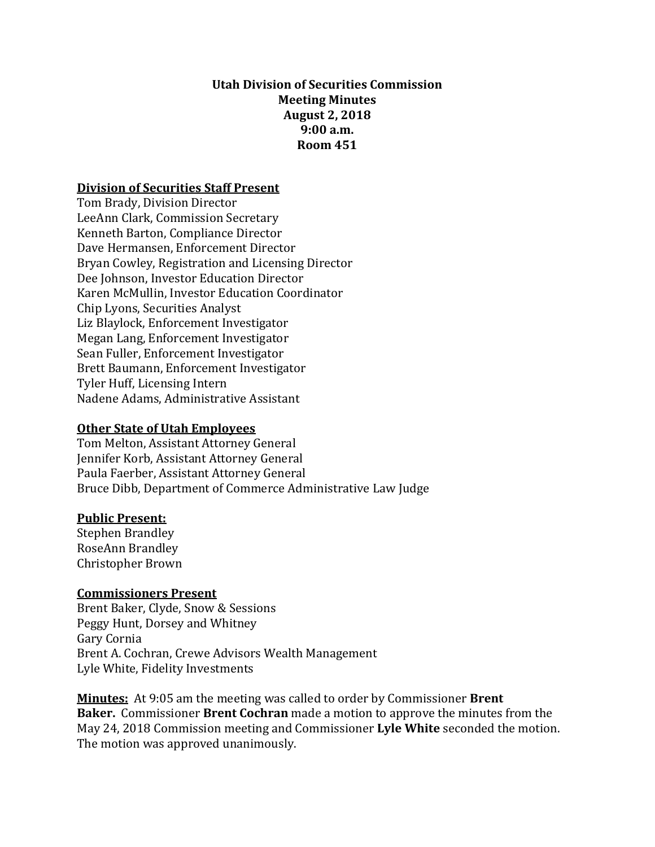#### **Utah Division of Securities Commission Meeting Minutes August 2, 2018 9:00 a.m. Room 451**

#### **Division of Securities Staff Present**

Tom Brady, Division Director LeeAnn Clark, Commission Secretary Kenneth Barton, Compliance Director Dave Hermansen, Enforcement Director Bryan Cowley, Registration and Licensing Director Dee Johnson, Investor Education Director Karen McMullin, Investor Education Coordinator Chip Lyons, Securities Analyst Liz Blaylock, Enforcement Investigator Megan Lang, Enforcement Investigator Sean Fuller, Enforcement Investigator Brett Baumann, Enforcement Investigator Tyler Huff, Licensing Intern Nadene Adams, Administrative Assistant

#### **Other State of Utah Employees**

Tom Melton, Assistant Attorney General Jennifer Korb, Assistant Attorney General Paula Faerber, Assistant Attorney General Bruce Dibb, Department of Commerce Administrative Law Judge

#### **Public Present:**

Stephen Brandley RoseAnn Brandley Christopher Brown

#### **Commissioners Present**

Brent Baker, Clyde, Snow & Sessions Peggy Hunt, Dorsey and Whitney Gary Cornia Brent A. Cochran, Crewe Advisors Wealth Management Lyle White, Fidelity Investments

**Minutes:** At 9:05 am the meeting was called to order by Commissioner **Brent Baker.** Commissioner **Brent Cochran** made a motion to approve the minutes from the May 24, 2018 Commission meeting and Commissioner **Lyle White** seconded the motion. The motion was approved unanimously.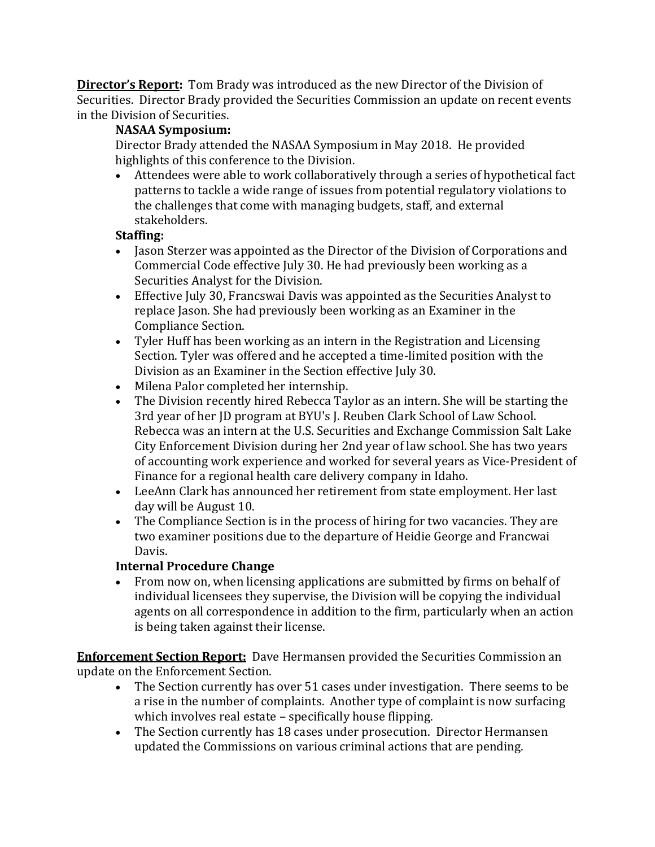**Director's Report:** Tom Brady was introduced as the new Director of the Division of Securities. Director Brady provided the Securities Commission an update on recent events in the Division of Securities.

## **NASAA Symposium:**

Director Brady attended the NASAA Symposium in May 2018. He provided highlights of this conference to the Division.

 Attendees were able to work collaboratively through a series of hypothetical fact patterns to tackle a wide range of issues from potential regulatory violations to the challenges that come with managing budgets, staff, and external stakeholders.

#### **Staffing:**

- Jason Sterzer was appointed as the Director of the Division of Corporations and Commercial Code effective July 30. He had previously been working as a Securities Analyst for the Division.
- Effective July 30, Francswai Davis was appointed as the Securities Analyst to replace Jason. She had previously been working as an Examiner in the Compliance Section.
- Tyler Huff has been working as an intern in the Registration and Licensing Section. Tyler was offered and he accepted a time-limited position with the Division as an Examiner in the Section effective July 30.
- Milena Palor completed her internship.
- The Division recently hired Rebecca Taylor as an intern. She will be starting the 3rd year of her JD program at BYU's J. Reuben Clark School of Law School. Rebecca was an intern at the U.S. Securities and Exchange Commission Salt Lake City Enforcement Division during her 2nd year of law school. She has two years of accounting work experience and worked for several years as Vice-President of Finance for a regional health care delivery company in Idaho.
- LeeAnn Clark has announced her retirement from state employment. Her last day will be August 10.
- The Compliance Section is in the process of hiring for two vacancies. They are two examiner positions due to the departure of Heidie George and Francwai Davis.

#### **Internal Procedure Change**

• From now on, when licensing applications are submitted by firms on behalf of individual licensees they supervise, the Division will be copying the individual agents on all correspondence in addition to the firm, particularly when an action is being taken against their license.

**Enforcement Section Report:** Dave Hermansen provided the Securities Commission an update on the Enforcement Section.

- The Section currently has over 51 cases under investigation. There seems to be a rise in the number of complaints. Another type of complaint is now surfacing which involves real estate – specifically house flipping.
- The Section currently has 18 cases under prosecution. Director Hermansen updated the Commissions on various criminal actions that are pending.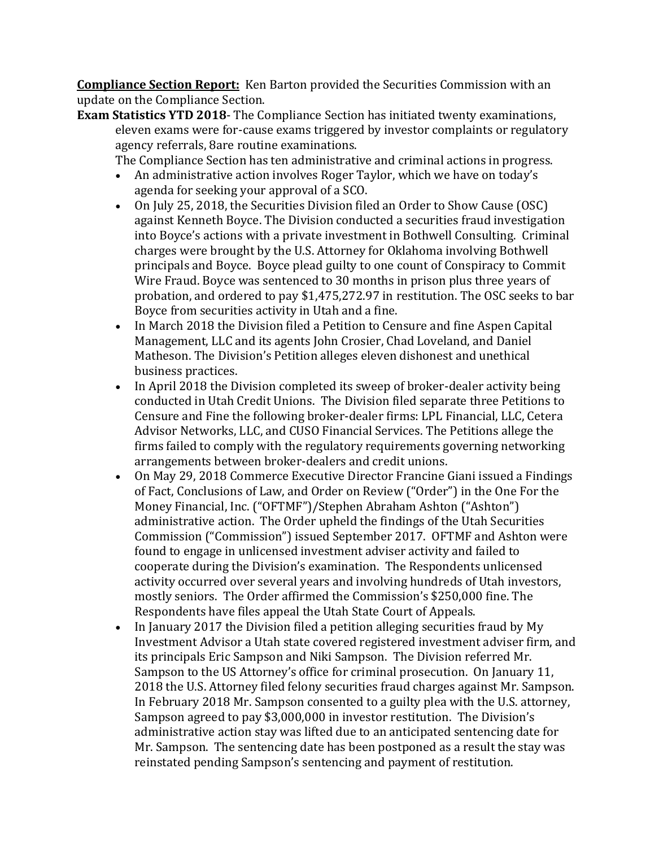**Compliance Section Report:** Ken Barton provided the Securities Commission with an update on the Compliance Section.

**Exam Statistics YTD 2018**- The Compliance Section has initiated twenty examinations, eleven exams were for-cause exams triggered by investor complaints or regulatory agency referrals, 8are routine examinations.

The Compliance Section has ten administrative and criminal actions in progress.

- An administrative action involves Roger Taylor, which we have on today's agenda for seeking your approval of a SCO.
- On July 25, 2018, the Securities Division filed an Order to Show Cause (OSC) against Kenneth Boyce. The Division conducted a securities fraud investigation into Boyce's actions with a private investment in Bothwell Consulting. Criminal charges were brought by the U.S. Attorney for Oklahoma involving Bothwell principals and Boyce. Boyce plead guilty to one count of Conspiracy to Commit Wire Fraud. Boyce was sentenced to 30 months in prison plus three years of probation, and ordered to pay \$1,475,272.97 in restitution. The OSC seeks to bar Boyce from securities activity in Utah and a fine.
- In March 2018 the Division filed a Petition to Censure and fine Aspen Capital Management, LLC and its agents John Crosier, Chad Loveland, and Daniel Matheson. The Division's Petition alleges eleven dishonest and unethical business practices.
- In April 2018 the Division completed its sweep of broker-dealer activity being conducted in Utah Credit Unions. The Division filed separate three Petitions to Censure and Fine the following broker-dealer firms: LPL Financial, LLC, Cetera Advisor Networks, LLC, and CUSO Financial Services. The Petitions allege the firms failed to comply with the regulatory requirements governing networking arrangements between broker-dealers and credit unions.
- On May 29, 2018 Commerce Executive Director Francine Giani issued a Findings of Fact, Conclusions of Law, and Order on Review ("Order") in the One For the Money Financial, Inc. ("OFTMF")/Stephen Abraham Ashton ("Ashton") administrative action. The Order upheld the findings of the Utah Securities Commission ("Commission") issued September 2017. OFTMF and Ashton were found to engage in unlicensed investment adviser activity and failed to cooperate during the Division's examination. The Respondents unlicensed activity occurred over several years and involving hundreds of Utah investors, mostly seniors. The Order affirmed the Commission's \$250,000 fine. The Respondents have files appeal the Utah State Court of Appeals.
- In January 2017 the Division filed a petition alleging securities fraud by My Investment Advisor a Utah state covered registered investment adviser firm, and its principals Eric Sampson and Niki Sampson. The Division referred Mr. Sampson to the US Attorney's office for criminal prosecution. On January 11, 2018 the U.S. Attorney filed felony securities fraud charges against Mr. Sampson. In February 2018 Mr. Sampson consented to a guilty plea with the U.S. attorney, Sampson agreed to pay \$3,000,000 in investor restitution. The Division's administrative action stay was lifted due to an anticipated sentencing date for Mr. Sampson. The sentencing date has been postponed as a result the stay was reinstated pending Sampson's sentencing and payment of restitution.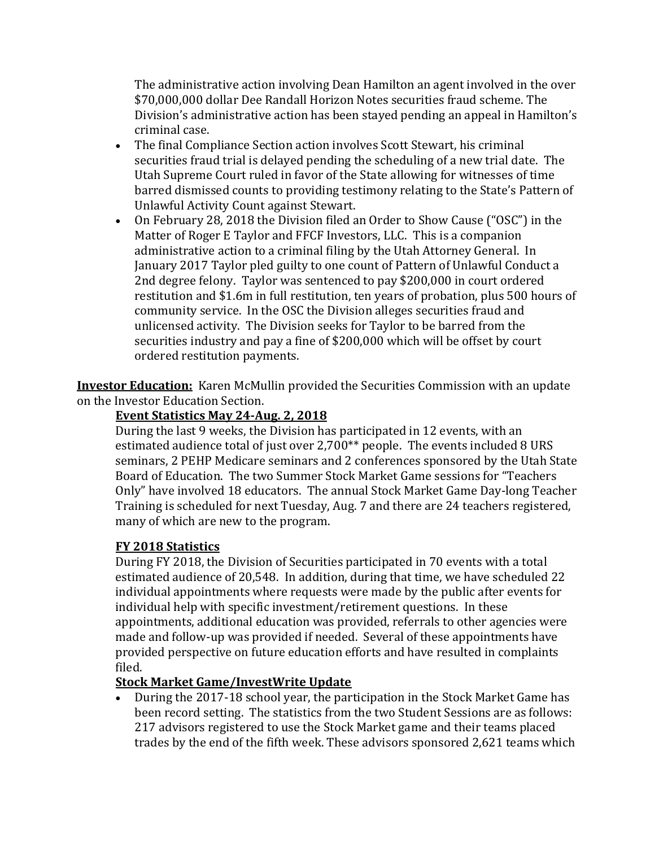The administrative action involving Dean Hamilton an agent involved in the over \$70,000,000 dollar Dee Randall Horizon Notes securities fraud scheme. The Division's administrative action has been stayed pending an appeal in Hamilton's criminal case.

- The final Compliance Section action involves Scott Stewart, his criminal securities fraud trial is delayed pending the scheduling of a new trial date. The Utah Supreme Court ruled in favor of the State allowing for witnesses of time barred dismissed counts to providing testimony relating to the State's Pattern of Unlawful Activity Count against Stewart.
- On February 28, 2018 the Division filed an Order to Show Cause ("OSC") in the Matter of Roger E Taylor and FFCF Investors, LLC. This is a companion administrative action to a criminal filing by the Utah Attorney General. In January 2017 Taylor pled guilty to one count of Pattern of Unlawful Conduct a 2nd degree felony. Taylor was sentenced to pay \$200,000 in court ordered restitution and \$1.6m in full restitution, ten years of probation, plus 500 hours of community service. In the OSC the Division alleges securities fraud and unlicensed activity. The Division seeks for Taylor to be barred from the securities industry and pay a fine of \$200,000 which will be offset by court ordered restitution payments.

**Investor Education:** Karen McMullin provided the Securities Commission with an update on the Investor Education Section.

#### **Event Statistics May 24-Aug. 2, 2018**

During the last 9 weeks, the Division has participated in 12 events, with an estimated audience total of just over 2,700\*\* people. The events included 8 URS seminars, 2 PEHP Medicare seminars and 2 conferences sponsored by the Utah State Board of Education. The two Summer Stock Market Game sessions for "Teachers Only" have involved 18 educators. The annual Stock Market Game Day-long Teacher Training is scheduled for next Tuesday, Aug. 7 and there are 24 teachers registered, many of which are new to the program.

## **FY 2018 Statistics**

During FY 2018, the Division of Securities participated in 70 events with a total estimated audience of 20,548. In addition, during that time, we have scheduled 22 individual appointments where requests were made by the public after events for individual help with specific investment/retirement questions. In these appointments, additional education was provided, referrals to other agencies were made and follow-up was provided if needed. Several of these appointments have provided perspective on future education efforts and have resulted in complaints filed.

## **Stock Market Game/InvestWrite Update**

 During the 2017-18 school year, the participation in the Stock Market Game has been record setting. The statistics from the two Student Sessions are as follows: 217 advisors registered to use the Stock Market game and their teams placed trades by the end of the fifth week. These advisors sponsored 2,621 teams which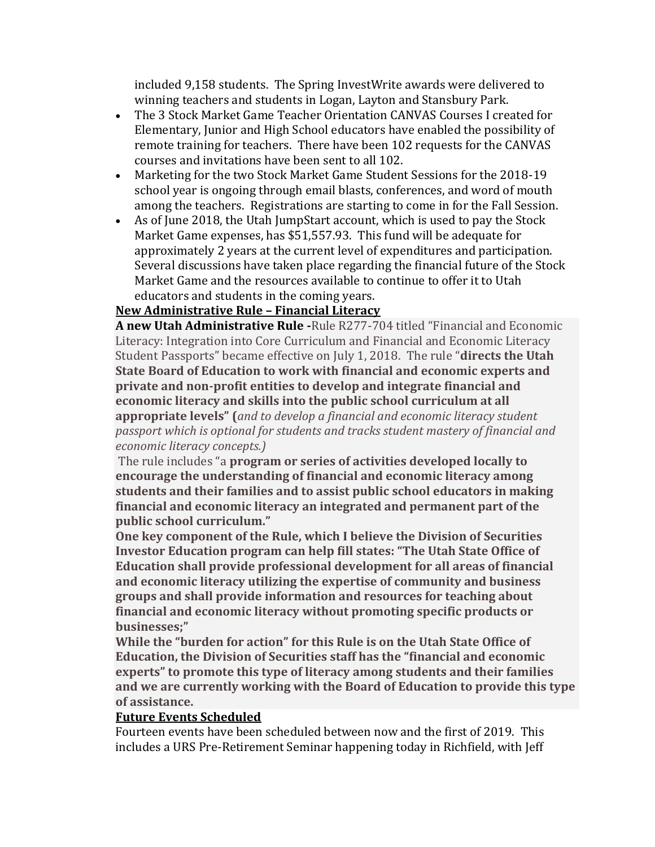included 9,158 students. The Spring InvestWrite awards were delivered to winning teachers and students in Logan, Layton and Stansbury Park.

- The 3 Stock Market Game Teacher Orientation CANVAS Courses I created for Elementary, Junior and High School educators have enabled the possibility of remote training for teachers. There have been 102 requests for the CANVAS courses and invitations have been sent to all 102.
- Marketing for the two Stock Market Game Student Sessions for the 2018-19 school year is ongoing through email blasts, conferences, and word of mouth among the teachers. Registrations are starting to come in for the Fall Session.
- As of June 2018, the Utah JumpStart account, which is used to pay the Stock Market Game expenses, has \$51,557.93. This fund will be adequate for approximately 2 years at the current level of expenditures and participation. Several discussions have taken place regarding the financial future of the Stock Market Game and the resources available to continue to offer it to Utah educators and students in the coming years.

## **New Administrative Rule – Financial Literacy**

**A new Utah Administrative Rule -**Rule R277-704 titled "Financial and Economic Literacy: Integration into Core Curriculum and Financial and Economic Literacy Student Passports" became effective on July 1, 2018. The rule "**directs the Utah State Board of Education to work with financial and economic experts and private and non-profit entities to develop and integrate financial and economic literacy and skills into the public school curriculum at all appropriate levels" (***and to develop a financial and economic literacy student passport which is optional for students and tracks student mastery of financial and economic literacy concepts.)*

The rule includes "a **program or series of activities developed locally to encourage the understanding of financial and economic literacy among students and their families and to assist public school educators in making financial and economic literacy an integrated and permanent part of the public school curriculum."** 

**One key component of the Rule, which I believe the Division of Securities Investor Education program can help fill states: "The Utah State Office of Education shall provide professional development for all areas of financial and economic literacy utilizing the expertise of community and business groups and shall provide information and resources for teaching about financial and economic literacy without promoting specific products or businesses;"**

**While the "burden for action" for this Rule is on the Utah State Office of Education, the Division of Securities staff has the "financial and economic experts" to promote this type of literacy among students and their families and we are currently working with the Board of Education to provide this type of assistance.**

#### **Future Events Scheduled**

Fourteen events have been scheduled between now and the first of 2019. This includes a URS Pre-Retirement Seminar happening today in Richfield, with Jeff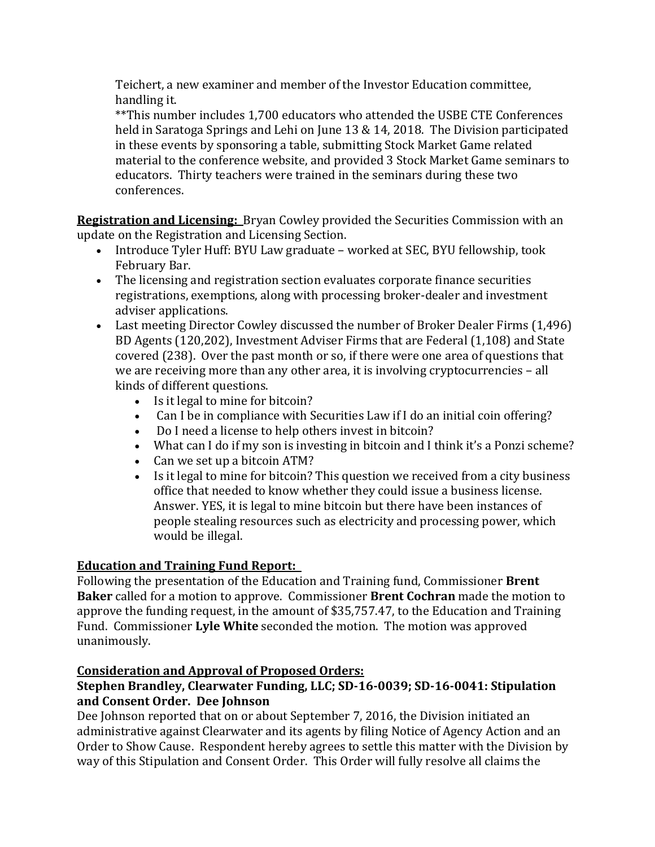Teichert, a new examiner and member of the Investor Education committee, handling it.

\*\*This number includes 1,700 educators who attended the USBE CTE Conferences held in Saratoga Springs and Lehi on June 13 & 14, 2018. The Division participated in these events by sponsoring a table, submitting Stock Market Game related material to the conference website, and provided 3 Stock Market Game seminars to educators. Thirty teachers were trained in the seminars during these two conferences.

**Registration and Licensing:** Bryan Cowley provided the Securities Commission with an update on the Registration and Licensing Section.

- Introduce Tyler Huff: BYU Law graduate worked at SEC, BYU fellowship, took February Bar.
- The licensing and registration section evaluates corporate finance securities registrations, exemptions, along with processing broker-dealer and investment adviser applications.
- Last meeting Director Cowley discussed the number of Broker Dealer Firms (1,496) BD Agents (120,202), Investment Adviser Firms that are Federal (1,108) and State covered (238). Over the past month or so, if there were one area of questions that we are receiving more than any other area, it is involving cryptocurrencies – all kinds of different questions.
	- Is it legal to mine for bitcoin?
	- Can I be in compliance with Securities Law if I do an initial coin offering?
	- Do I need a license to help others invest in bitcoin?
	- What can I do if my son is investing in bitcoin and I think it's a Ponzi scheme?
	- Can we set up a bitcoin ATM?
	- Is it legal to mine for bitcoin? This question we received from a city business office that needed to know whether they could issue a business license. Answer. YES, it is legal to mine bitcoin but there have been instances of people stealing resources such as electricity and processing power, which would be illegal.

# **Education and Training Fund Report:**

Following the presentation of the Education and Training fund, Commissioner **Brent Baker** called for a motion to approve. Commissioner **Brent Cochran** made the motion to approve the funding request, in the amount of \$35,757.47, to the Education and Training Fund. Commissioner **Lyle White** seconded the motion. The motion was approved unanimously.

## **Consideration and Approval of Proposed Orders:**

## **Stephen Brandley, Clearwater Funding, LLC; SD-16-0039; SD-16-0041: Stipulation and Consent Order. Dee Johnson**

Dee Johnson reported that on or about September 7, 2016, the Division initiated an administrative against Clearwater and its agents by filing Notice of Agency Action and an Order to Show Cause. Respondent hereby agrees to settle this matter with the Division by way of this Stipulation and Consent Order. This Order will fully resolve all claims the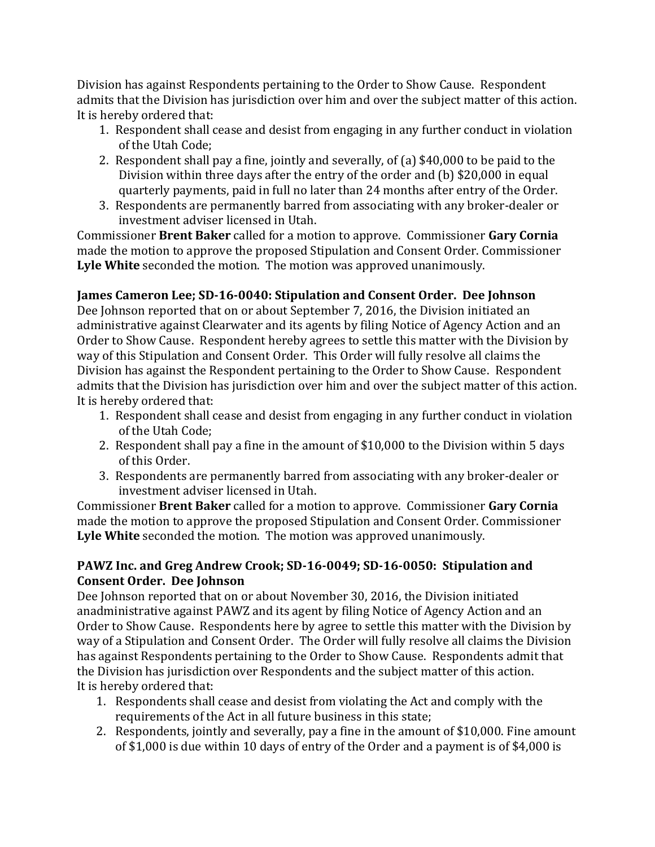Division has against Respondents pertaining to the Order to Show Cause. Respondent admits that the Division has jurisdiction over him and over the subject matter of this action. It is hereby ordered that:

- 1. Respondent shall cease and desist from engaging in any further conduct in violation of the Utah Code;
- 2. Respondent shall pay a fine, jointly and severally, of (a) \$40,000 to be paid to the Division within three days after the entry of the order and (b) \$20,000 in equal quarterly payments, paid in full no later than 24 months after entry of the Order.
- 3. Respondents are permanently barred from associating with any broker-dealer or investment adviser licensed in Utah.

Commissioner **Brent Baker** called for a motion to approve. Commissioner **Gary Cornia** made the motion to approve the proposed Stipulation and Consent Order. Commissioner **Lyle White** seconded the motion. The motion was approved unanimously.

# **James Cameron Lee; SD-16-0040: Stipulation and Consent Order. Dee Johnson**

Dee Johnson reported that on or about September 7, 2016, the Division initiated an administrative against Clearwater and its agents by filing Notice of Agency Action and an Order to Show Cause. Respondent hereby agrees to settle this matter with the Division by way of this Stipulation and Consent Order. This Order will fully resolve all claims the Division has against the Respondent pertaining to the Order to Show Cause. Respondent admits that the Division has jurisdiction over him and over the subject matter of this action. It is hereby ordered that:

- 1. Respondent shall cease and desist from engaging in any further conduct in violation of the Utah Code;
- 2. Respondent shall pay a fine in the amount of \$10,000 to the Division within 5 days of this Order.
- 3. Respondents are permanently barred from associating with any broker-dealer or investment adviser licensed in Utah.

Commissioner **Brent Baker** called for a motion to approve. Commissioner **Gary Cornia** made the motion to approve the proposed Stipulation and Consent Order. Commissioner **Lyle White** seconded the motion. The motion was approved unanimously.

## **PAWZ Inc. and Greg Andrew Crook; SD-16-0049; SD-16-0050: Stipulation and Consent Order. Dee Johnson**

Dee Johnson reported that on or about November 30, 2016, the Division initiated anadministrative against PAWZ and its agent by filing Notice of Agency Action and an Order to Show Cause. Respondents here by agree to settle this matter with the Division by way of a Stipulation and Consent Order. The Order will fully resolve all claims the Division has against Respondents pertaining to the Order to Show Cause. Respondents admit that the Division has jurisdiction over Respondents and the subject matter of this action. It is hereby ordered that:

- 1. Respondents shall cease and desist from violating the Act and comply with the requirements of the Act in all future business in this state;
- 2. Respondents, jointly and severally, pay a fine in the amount of \$10,000. Fine amount of \$1,000 is due within 10 days of entry of the Order and a payment is of \$4,000 is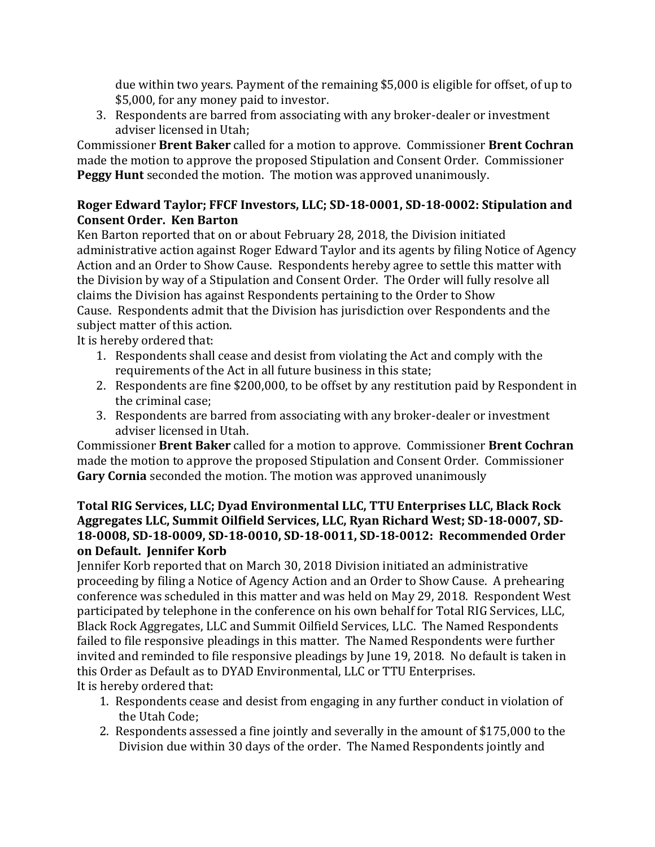due within two years. Payment of the remaining \$5,000 is eligible for offset, of up to \$5,000, for any money paid to investor.

3. Respondents are barred from associating with any broker-dealer or investment adviser licensed in Utah;

Commissioner **Brent Baker** called for a motion to approve. Commissioner **Brent Cochran**  made the motion to approve the proposed Stipulation and Consent Order. Commissioner **Peggy Hunt** seconded the motion. The motion was approved unanimously.

## **Roger Edward Taylor; FFCF Investors, LLC; SD-18-0001, SD-18-0002: Stipulation and Consent Order. Ken Barton**

Ken Barton reported that on or about February 28, 2018, the Division initiated administrative action against Roger Edward Taylor and its agents by filing Notice of Agency Action and an Order to Show Cause. Respondents hereby agree to settle this matter with the Division by way of a Stipulation and Consent Order. The Order will fully resolve all claims the Division has against Respondents pertaining to the Order to Show Cause. Respondents admit that the Division has jurisdiction over Respondents and the subject matter of this action.

It is hereby ordered that:

- 1. Respondents shall cease and desist from violating the Act and comply with the requirements of the Act in all future business in this state;
- 2. Respondents are fine \$200,000, to be offset by any restitution paid by Respondent in the criminal case;
- 3. Respondents are barred from associating with any broker-dealer or investment adviser licensed in Utah.

Commissioner **Brent Baker** called for a motion to approve. Commissioner **Brent Cochran** made the motion to approve the proposed Stipulation and Consent Order. Commissioner **Gary Cornia** seconded the motion. The motion was approved unanimously

#### **Total RIG Services, LLC; Dyad Environmental LLC, TTU Enterprises LLC, Black Rock Aggregates LLC, Summit Oilfield Services, LLC, Ryan Richard West; SD-18-0007, SD-18-0008, SD-18-0009, SD-18-0010, SD-18-0011, SD-18-0012: Recommended Order on Default. Jennifer Korb**

Jennifer Korb reported that on March 30, 2018 Division initiated an administrative proceeding by filing a Notice of Agency Action and an Order to Show Cause. A prehearing conference was scheduled in this matter and was held on May 29, 2018. Respondent West participated by telephone in the conference on his own behalf for Total RIG Services, LLC, Black Rock Aggregates, LLC and Summit Oilfield Services, LLC. The Named Respondents failed to file responsive pleadings in this matter. The Named Respondents were further invited and reminded to file responsive pleadings by June 19, 2018. No default is taken in this Order as Default as to DYAD Environmental, LLC or TTU Enterprises. It is hereby ordered that:

- 1. Respondents cease and desist from engaging in any further conduct in violation of the Utah Code;
- 2. Respondents assessed a fine jointly and severally in the amount of \$175,000 to the Division due within 30 days of the order. The Named Respondents jointly and